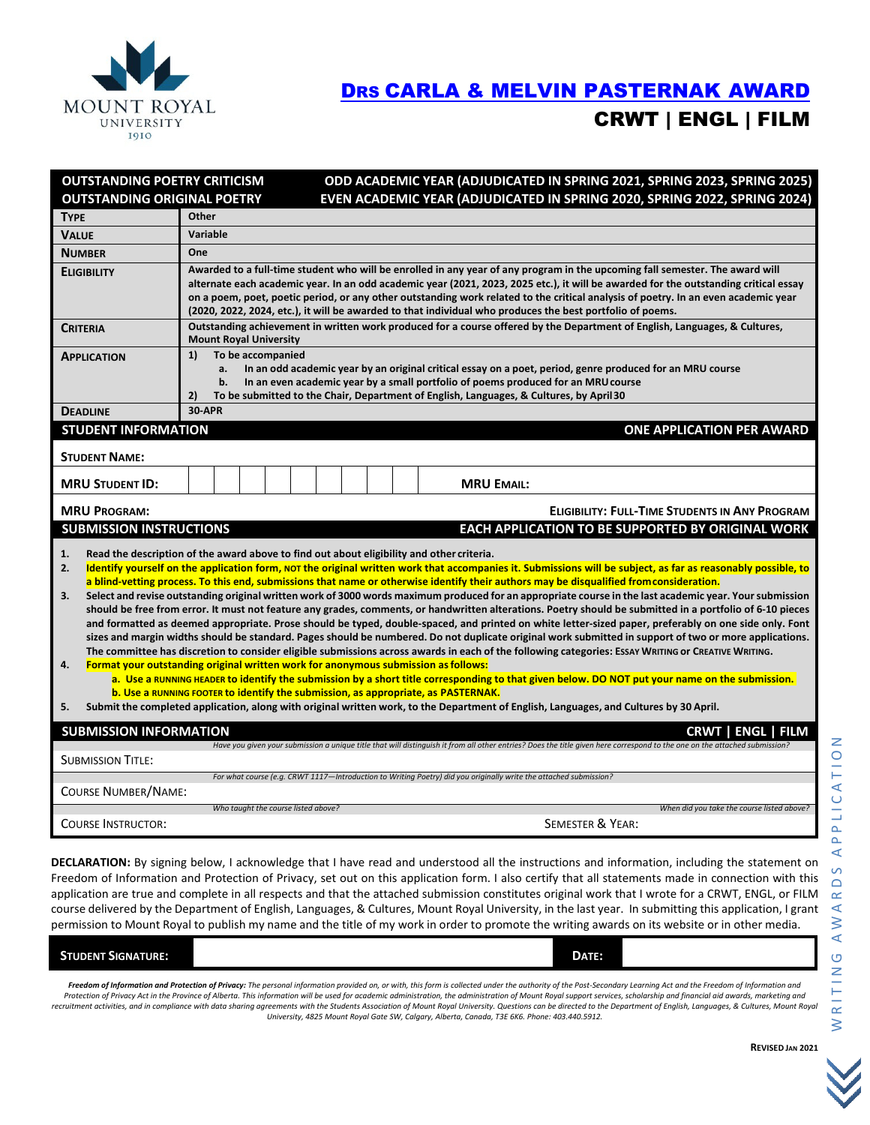

## [DRS CARLA & MELVIN PASTERNAK](https://mtroyal.academicworks.ca/opportunities/5715) AWARD CRWT | ENGL | FILM

| <b>OUTSTANDING POETRY CRITICISM</b>                                                                                                                                                                                                                                                                                                                                                                                                                                                                                                                                                                                                                                                                                                                                                                                                                                                                                                                                                                                                                                                                                                                                                                                                                                                                                                                                                                                                                                                                                                                                                                                                                                                                         |                                                                                                                                                                                                                                                                                                                                                                                                                                                                                                                         |  | ODD ACADEMIC YEAR (ADJUDICATED IN SPRING 2021, SPRING 2023, SPRING 2025) |  |                                         |  |  |                                                                                                                   |  |  |  |  |  |
|-------------------------------------------------------------------------------------------------------------------------------------------------------------------------------------------------------------------------------------------------------------------------------------------------------------------------------------------------------------------------------------------------------------------------------------------------------------------------------------------------------------------------------------------------------------------------------------------------------------------------------------------------------------------------------------------------------------------------------------------------------------------------------------------------------------------------------------------------------------------------------------------------------------------------------------------------------------------------------------------------------------------------------------------------------------------------------------------------------------------------------------------------------------------------------------------------------------------------------------------------------------------------------------------------------------------------------------------------------------------------------------------------------------------------------------------------------------------------------------------------------------------------------------------------------------------------------------------------------------------------------------------------------------------------------------------------------------|-------------------------------------------------------------------------------------------------------------------------------------------------------------------------------------------------------------------------------------------------------------------------------------------------------------------------------------------------------------------------------------------------------------------------------------------------------------------------------------------------------------------------|--|--------------------------------------------------------------------------|--|-----------------------------------------|--|--|-------------------------------------------------------------------------------------------------------------------|--|--|--|--|--|
| <b>OUTSTANDING ORIGINAL POETRY</b>                                                                                                                                                                                                                                                                                                                                                                                                                                                                                                                                                                                                                                                                                                                                                                                                                                                                                                                                                                                                                                                                                                                                                                                                                                                                                                                                                                                                                                                                                                                                                                                                                                                                          |                                                                                                                                                                                                                                                                                                                                                                                                                                                                                                                         |  |                                                                          |  |                                         |  |  | EVEN ACADEMIC YEAR (ADJUDICATED IN SPRING 2020, SPRING 2022, SPRING 2024)                                         |  |  |  |  |  |
| <b>TYPE</b>                                                                                                                                                                                                                                                                                                                                                                                                                                                                                                                                                                                                                                                                                                                                                                                                                                                                                                                                                                                                                                                                                                                                                                                                                                                                                                                                                                                                                                                                                                                                                                                                                                                                                                 | Other                                                                                                                                                                                                                                                                                                                                                                                                                                                                                                                   |  |                                                                          |  |                                         |  |  |                                                                                                                   |  |  |  |  |  |
| <b>VALUE</b>                                                                                                                                                                                                                                                                                                                                                                                                                                                                                                                                                                                                                                                                                                                                                                                                                                                                                                                                                                                                                                                                                                                                                                                                                                                                                                                                                                                                                                                                                                                                                                                                                                                                                                | Variable                                                                                                                                                                                                                                                                                                                                                                                                                                                                                                                |  |                                                                          |  |                                         |  |  |                                                                                                                   |  |  |  |  |  |
| <b>NUMBER</b>                                                                                                                                                                                                                                                                                                                                                                                                                                                                                                                                                                                                                                                                                                                                                                                                                                                                                                                                                                                                                                                                                                                                                                                                                                                                                                                                                                                                                                                                                                                                                                                                                                                                                               | One                                                                                                                                                                                                                                                                                                                                                                                                                                                                                                                     |  |                                                                          |  |                                         |  |  |                                                                                                                   |  |  |  |  |  |
| <b>ELIGIBILITY</b>                                                                                                                                                                                                                                                                                                                                                                                                                                                                                                                                                                                                                                                                                                                                                                                                                                                                                                                                                                                                                                                                                                                                                                                                                                                                                                                                                                                                                                                                                                                                                                                                                                                                                          | Awarded to a full-time student who will be enrolled in any year of any program in the upcoming fall semester. The award will<br>alternate each academic year. In an odd academic year (2021, 2023, 2025 etc.), it will be awarded for the outstanding critical essay<br>on a poem, poet, poetic period, or any other outstanding work related to the critical analysis of poetry. In an even academic year<br>(2020, 2022, 2024, etc.), it will be awarded to that individual who produces the best portfolio of poems. |  |                                                                          |  |                                         |  |  |                                                                                                                   |  |  |  |  |  |
| <b>CRITERIA</b>                                                                                                                                                                                                                                                                                                                                                                                                                                                                                                                                                                                                                                                                                                                                                                                                                                                                                                                                                                                                                                                                                                                                                                                                                                                                                                                                                                                                                                                                                                                                                                                                                                                                                             | Outstanding achievement in written work produced for a course offered by the Department of English, Languages, & Cultures,<br><b>Mount Royal University</b>                                                                                                                                                                                                                                                                                                                                                             |  |                                                                          |  |                                         |  |  |                                                                                                                   |  |  |  |  |  |
| <b>APPLICATION</b>                                                                                                                                                                                                                                                                                                                                                                                                                                                                                                                                                                                                                                                                                                                                                                                                                                                                                                                                                                                                                                                                                                                                                                                                                                                                                                                                                                                                                                                                                                                                                                                                                                                                                          | To be accompanied<br>1)<br>a.<br>In an odd academic year by an original critical essay on a poet, period, genre produced for an MRU course<br>In an even academic year by a small portfolio of poems produced for an MRU course<br>b.<br>2)<br>To be submitted to the Chair, Department of English, Languages, & Cultures, by April 30                                                                                                                                                                                  |  |                                                                          |  |                                         |  |  |                                                                                                                   |  |  |  |  |  |
| <b>30-APR</b><br><b>DEADLINE</b>                                                                                                                                                                                                                                                                                                                                                                                                                                                                                                                                                                                                                                                                                                                                                                                                                                                                                                                                                                                                                                                                                                                                                                                                                                                                                                                                                                                                                                                                                                                                                                                                                                                                            |                                                                                                                                                                                                                                                                                                                                                                                                                                                                                                                         |  |                                                                          |  |                                         |  |  |                                                                                                                   |  |  |  |  |  |
| <b>STUDENT INFORMATION</b><br><b>ONE APPLICATION PER AWARD</b>                                                                                                                                                                                                                                                                                                                                                                                                                                                                                                                                                                                                                                                                                                                                                                                                                                                                                                                                                                                                                                                                                                                                                                                                                                                                                                                                                                                                                                                                                                                                                                                                                                              |                                                                                                                                                                                                                                                                                                                                                                                                                                                                                                                         |  |                                                                          |  |                                         |  |  |                                                                                                                   |  |  |  |  |  |
| <b>STUDENT NAME:</b>                                                                                                                                                                                                                                                                                                                                                                                                                                                                                                                                                                                                                                                                                                                                                                                                                                                                                                                                                                                                                                                                                                                                                                                                                                                                                                                                                                                                                                                                                                                                                                                                                                                                                        |                                                                                                                                                                                                                                                                                                                                                                                                                                                                                                                         |  |                                                                          |  |                                         |  |  |                                                                                                                   |  |  |  |  |  |
| <b>MRU STUDENT ID:</b>                                                                                                                                                                                                                                                                                                                                                                                                                                                                                                                                                                                                                                                                                                                                                                                                                                                                                                                                                                                                                                                                                                                                                                                                                                                                                                                                                                                                                                                                                                                                                                                                                                                                                      |                                                                                                                                                                                                                                                                                                                                                                                                                                                                                                                         |  |                                                                          |  |                                         |  |  | <b>MRU EMAIL:</b>                                                                                                 |  |  |  |  |  |
| <b>MRU PROGRAM:</b><br><b>ELIGIBILITY: FULL-TIME STUDENTS IN ANY PROGRAM</b>                                                                                                                                                                                                                                                                                                                                                                                                                                                                                                                                                                                                                                                                                                                                                                                                                                                                                                                                                                                                                                                                                                                                                                                                                                                                                                                                                                                                                                                                                                                                                                                                                                |                                                                                                                                                                                                                                                                                                                                                                                                                                                                                                                         |  |                                                                          |  |                                         |  |  |                                                                                                                   |  |  |  |  |  |
| <b>SUBMISSION INSTRUCTIONS</b>                                                                                                                                                                                                                                                                                                                                                                                                                                                                                                                                                                                                                                                                                                                                                                                                                                                                                                                                                                                                                                                                                                                                                                                                                                                                                                                                                                                                                                                                                                                                                                                                                                                                              |                                                                                                                                                                                                                                                                                                                                                                                                                                                                                                                         |  |                                                                          |  |                                         |  |  | EACH APPLICATION TO BE SUPPORTED BY ORIGINAL WORK                                                                 |  |  |  |  |  |
| Read the description of the award above to find out about eligibility and other criteria.<br>1.<br>2.<br>Identify yourself on the application form, NOT the original written work that accompanies it. Submissions will be subject, as far as reasonably possible, to<br>a blind-vetting process. To this end, submissions that name or otherwise identify their authors may be disqualified from consideration.<br>Select and revise outstanding original written work of 3000 words maximum produced for an appropriate course in the last academic year. Your submission<br>3.<br>should be free from error. It must not feature any grades, comments, or handwritten alterations. Poetry should be submitted in a portfolio of 6-10 pieces<br>and formatted as deemed appropriate. Prose should be typed, double-spaced, and printed on white letter-sized paper, preferably on one side only. Font<br>sizes and margin widths should be standard. Pages should be numbered. Do not duplicate original work submitted in support of two or more applications.<br>The committee has discretion to consider eligible submissions across awards in each of the following categories: Essay WRITING or CREATIVE WRITING.<br>4.<br>Format your outstanding original written work for anonymous submission as follows:<br>a. Use a RUNNING HEADER to identify the submission by a short title corresponding to that given below. DO NOT put your name on the submission.<br>b. Use a RUNNING FOOTER to identify the submission, as appropriate, as PASTERNAK.<br>Submit the completed application, along with original written work, to the Department of English, Languages, and Cultures by 30 April.<br>5. |                                                                                                                                                                                                                                                                                                                                                                                                                                                                                                                         |  |                                                                          |  |                                         |  |  |                                                                                                                   |  |  |  |  |  |
| <b>SUBMISSION INFORMATION</b>                                                                                                                                                                                                                                                                                                                                                                                                                                                                                                                                                                                                                                                                                                                                                                                                                                                                                                                                                                                                                                                                                                                                                                                                                                                                                                                                                                                                                                                                                                                                                                                                                                                                               |                                                                                                                                                                                                                                                                                                                                                                                                                                                                                                                         |  |                                                                          |  |                                         |  |  | ENGL   FILM<br>CRWT                                                                                               |  |  |  |  |  |
| Have you given your submission a unique title that will distinguish it from all other entries? Does the title given here correspond to the one on the attached submissio<br><b>SUBMISSION TITLE:</b>                                                                                                                                                                                                                                                                                                                                                                                                                                                                                                                                                                                                                                                                                                                                                                                                                                                                                                                                                                                                                                                                                                                                                                                                                                                                                                                                                                                                                                                                                                        |                                                                                                                                                                                                                                                                                                                                                                                                                                                                                                                         |  |                                                                          |  |                                         |  |  |                                                                                                                   |  |  |  |  |  |
| <b>COURSE NUMBER/NAME:</b>                                                                                                                                                                                                                                                                                                                                                                                                                                                                                                                                                                                                                                                                                                                                                                                                                                                                                                                                                                                                                                                                                                                                                                                                                                                                                                                                                                                                                                                                                                                                                                                                                                                                                  |                                                                                                                                                                                                                                                                                                                                                                                                                                                                                                                         |  |                                                                          |  |                                         |  |  | For what course (e.g. CRWT 1117-Introduction to Writing Poetry) did you originally write the attached submission? |  |  |  |  |  |
|                                                                                                                                                                                                                                                                                                                                                                                                                                                                                                                                                                                                                                                                                                                                                                                                                                                                                                                                                                                                                                                                                                                                                                                                                                                                                                                                                                                                                                                                                                                                                                                                                                                                                                             |                                                                                                                                                                                                                                                                                                                                                                                                                                                                                                                         |  | Who taught the course listed above?                                      |  |                                         |  |  | When did you take the course listed above?                                                                        |  |  |  |  |  |
| <b>COURSE INSTRUCTOR:</b>                                                                                                                                                                                                                                                                                                                                                                                                                                                                                                                                                                                                                                                                                                                                                                                                                                                                                                                                                                                                                                                                                                                                                                                                                                                                                                                                                                                                                                                                                                                                                                                                                                                                                   |                                                                                                                                                                                                                                                                                                                                                                                                                                                                                                                         |  |                                                                          |  |                                         |  |  | SEMESTER & YEAR:                                                                                                  |  |  |  |  |  |
|                                                                                                                                                                                                                                                                                                                                                                                                                                                                                                                                                                                                                                                                                                                                                                                                                                                                                                                                                                                                                                                                                                                                                                                                                                                                                                                                                                                                                                                                                                                                                                                                                                                                                                             |                                                                                                                                                                                                                                                                                                                                                                                                                                                                                                                         |  |                                                                          |  | المسمعا سينمط القسطة ستملح ماريته مرزام |  |  |                                                                                                                   |  |  |  |  |  |

**DECLARATION:** By signing below, I acknowledge that I have read and understood all the instructions and information, including the statement on Freedom of Information and Protection of Privacy, set out on this application form. I also certify that all statements made in connection with this application are true and complete in all respects and that the attached submission constitutes original work that I wrote for a CRWT, ENGL, or FILM course delivered by the Department of English, Languages, & Cultures, Mount Royal University, in the last year. In submitting this application, I grant permission to Mount Royal to publish my name and the title of my work in order to promote the writing awards on its website or in other media.

| UDENT SIGNATURE:<br>- STL |   |        |   | DATE: |                                                                                                                                                                    |
|---------------------------|---|--------|---|-------|--------------------------------------------------------------------------------------------------------------------------------------------------------------------|
| .                         | . | .<br>. | . |       | the contract of the contract of the contract of the contract of the contract of the contract of the contract of<br>.<br><b>Contract Contract Contract Contract</b> |

Freedom of Information and Protection of Privacy: The personal information provided on, or with, this form is collected under the authority of the Post-Secondary Learning Act and the Freedom of Information and Protection of Privacy Act in the Province of Alberta. This information will be used for academic administration, the administration of Mount Royal support services, scholarship and financial aid awards, marketing and recruitment activities, and in compliance with data sharing agreements with the Students Association of Mount Royal University. Questions can be directed to the Department of English, Languages, & Cultures, Mount Royal *University, 4825 Mount Royal Gate SW, Calgary, Alberta, Canada, T3E 6K6. Phone: 403.440.5912.*

**REVISED JAN 2021**

PLICATION

 $\Delta$  $\prec$  $\sigma$  $\bigcirc$  $\simeq$  $\overline{M}$  A  $\overline{M}$  $\overline{\mathbf{r}}$